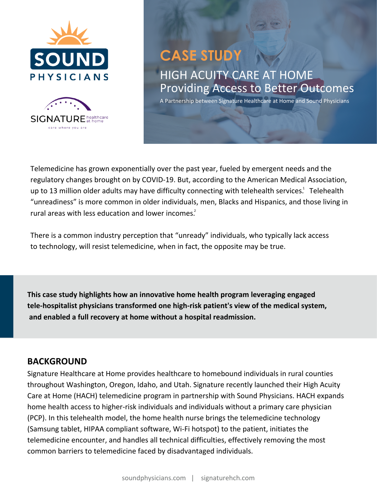



# **CASE STUDY** HIGH ACUITY CARE AT HOME Providing Access to Better Outcomes

A Partnership between Signature Healthcare at Home and Sound Physicians

Telemedicine has grown exponentially over the past year, fueled by emergent needs and the regulatory changes brought on by COVID-19. But, according to the American Medical Association, up to 13 million older adults may have difficulty connecting with telehealth services.<sup>1</sup> Telehealth "unreadiness" is more common in older individuals, men, Blacks and Hispanics, and those living in rural areas with less education and lower incomes. 2

There is a common industry perception that "unready" individuals, who typically lack access to technology, will resist telemedicine, when in fact, the opposite may be true.

**This case study highlights how an innovative home health program leveraging engaged tele-hospitalist physicians transformed one high-risk patient's view of the medical system, and enabled a full recovery at home without a hospital readmission.**

#### **BACKGROUND**

Signature Healthcare at Home provides healthcare to homebound individuals in rural counties throughout Washington, Oregon, Idaho, and Utah. Signature recently launched their High Acuity Care at Home (HACH) telemedicine program in partnership with Sound Physicians. HACH expands home health access to higher-risk individuals and individuals without a primary care physician (PCP). In this telehealth model, the home health nurse brings the telemedicine technology (Samsung tablet, HIPAA compliant software, Wi-Fi hotspot) to the patient, initiates the telemedicine encounter, and handles all technical difficulties, effectively removing the most common barriers to telemedicine faced by disadvantaged individuals.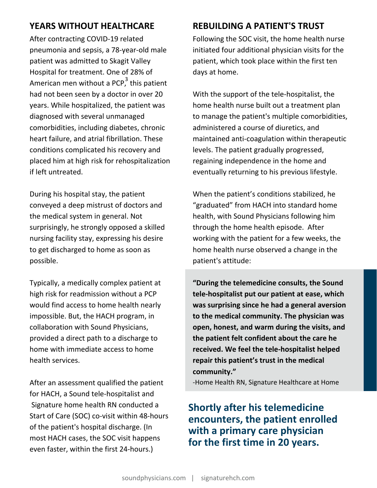After contracting COVID-19 related pneumonia and sepsis, a 78-year-old male patient was admitted to Skagit Valley Hospital for treatment. One of 28% of American men without a PCP, this patient had not been seen by a doctor in over 20 years. While hospitalized, the patient was diagnosed with several unmanaged comorbidities, including diabetes, chronic heart failure, and atrial fibrillation. These conditions complicated his recovery and placed him at high risk for rehospitalization if left untreated.

During his hospital stay, the patient conveyed a deep mistrust of doctors and the medical system in general. Not surprisingly, he strongly opposed a skilled nursing facility stay, expressing his desire to get discharged to home as soon as possible.

Typically, a medically complex patient at high risk for readmission without a PCP would find access to home health nearly impossible. But, the HACH program, in collaboration with Sound Physicians, provided a direct path to a discharge to home with immediate access to home health services.

After an assessment qualified the patient for HACH, a Sound tele-hospitalist and Signature home health RN conducted a Start of Care (SOC) co-visit within 48-hours of the patient's hospital discharge. (In most HACH cases, the SOC visit happens even faster, within the first 24-hours.)

### **YEARS WITHOUT HEALTHCARE REBUILDING A PATIENT'S TRUST**

Following the SOC visit, the home health nurse initiated four additional physician visits for the patient, which took place within the first ten days at home.

With the support of the tele-hospitalist, the home health nurse built out a treatment plan to manage the patient's multiple comorbidities, administered a course of diuretics, and maintained anti-coagulation within therapeutic levels. The patient gradually progressed, regaining independence in the home and eventually returning to his previous lifestyle.

When the patient's conditions stabilized, he "graduated" from HACH into standard home health, with Sound Physicians following him through the home health episode. After working with the patient for a few weeks, the home health nurse observed a change in the patient's attitude:

**"During the telemedicine consults, the Sound tele-hospitalist put our patient at ease, which was surprising since he had a general aversion to the medical community. The physician was open, honest, and warm during the visits, and the patient felt confident about the care he received. We feel the tele-hospitalist helped repair this patient's trust in the medical community."**

-Home Health RN, Signature Healthcare at Home

## **Shortly after his telemedicine encounters, the patient enrolled with a primary care physician for the first time in 20 years.**